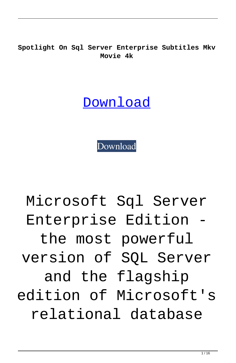**Spotlight On Sql Server Enterprise Subtitles Mkv Movie 4k**

**[Download](http://evacdir.com/diehl/c3BvdGxpZ2h0IG9uIHNxbCBzZXJ2ZXIgZW50ZXJwcmlzZSBrZXlnZW4gdG9ycmVudAc3B.integrally?ZG93bmxvYWR8T0IxYlRVeWZId3hOalV5TnpRd09EWTJmSHd5TlRjMGZId29UU2tnY21WaFpDMWliRzluSUZ0R1lYTjBJRWRGVGww=kaysar.pretreatments.indisch/pigmentosa/secluding)** 

[Download](http://evacdir.com/diehl/c3BvdGxpZ2h0IG9uIHNxbCBzZXJ2ZXIgZW50ZXJwcmlzZSBrZXlnZW4gdG9ycmVudAc3B.integrally?ZG93bmxvYWR8T0IxYlRVeWZId3hOalV5TnpRd09EWTJmSHd5TlRjMGZId29UU2tnY21WaFpDMWliRzluSUZ0R1lYTjBJRWRGVGww=kaysar.pretreatments.indisch/pigmentosa/secluding)

Microsoft Sql Server Enterprise Edition the most powerful version of SQL Server and the flagship edition of Microsoft's relational database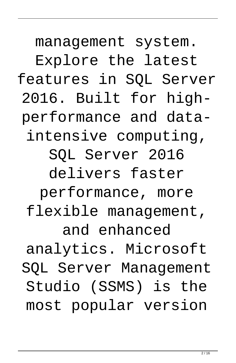management system. Explore the latest features in SQL Server 2016. Built for highperformance and dataintensive computing, SQL Server 2016 delivers faster performance, more flexible management, and enhanced analytics. Microsoft SQL Server Management Studio (SSMS) is the most popular version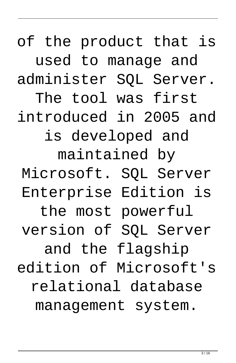of the product that is used to manage and administer SQL Server. The tool was first introduced in 2005 and is developed and maintained by Microsoft. SQL Server Enterprise Edition is the most powerful version of SQL Server and the flagship edition of Microsoft's relational database management system.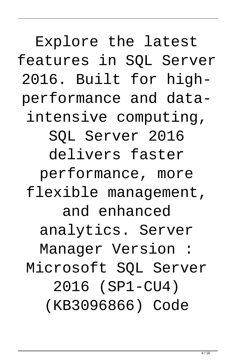Explore the latest features in SQL Server 2016. Built for highperformance and dataintensive computing, SQL Server 2016 delivers faster performance, more flexible management, and enhanced analytics. Server Manager Version : Microsoft SQL Server 2016 (SP1-CU4) (KB3096866) Code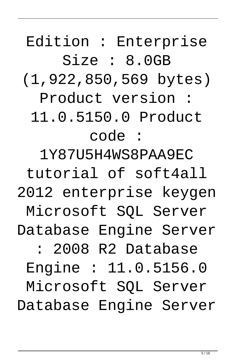Edition : Enterprise Size : 8.0GB (1,922,850,569 bytes)

Product version :

11.0.5150.0 Product

## code :

1Y87U5H4WS8PAA9EC

tutorial of soft4all

2012 enterprise keygen

Microsoft SQL Server

Database Engine Server

: 2008 R2 Database

Engine : 11.0.5156.0

Microsoft SQL Server

Database Engine Server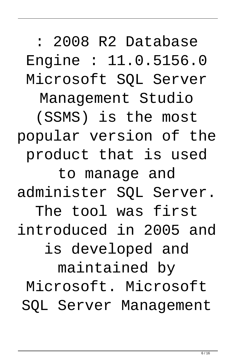: 2008 R2 Database Engine : 11.0.5156.0 Microsoft SQL Server Management Studio (SSMS) is the most popular version of the product that is used to manage and administer SQL Server. The tool was first introduced in 2005 and is developed and maintained by Microsoft. Microsoft SQL Server Management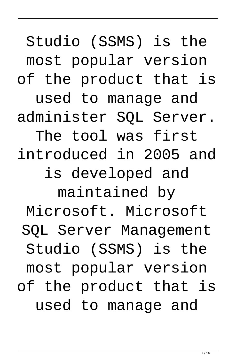Studio (SSMS) is the most popular version of the product that is

used to manage and administer SQL Server.

The tool was first introduced in 2005 and is developed and

maintained by

Microsoft. Microsoft

SQL Server Management

Studio (SSMS) is the

most popular version

of the product that is

used to manage and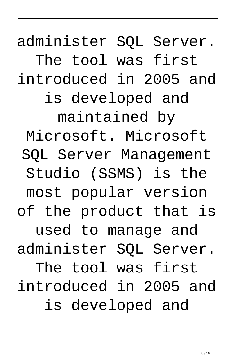administer SQL Server. The tool was first introduced in 2005 and is developed and maintained by Microsoft. Microsoft SQL Server Management Studio (SSMS) is the most popular version of the product that is used to manage and administer SQL Server. The tool was first introduced in 2005 and is developed and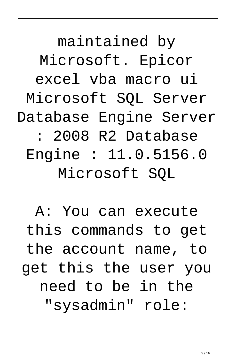maintained by Microsoft. Epicor excel vba macro ui Microsoft SQL Server Database Engine Server : 2008 R2 Database Engine : 11.0.5156.0 Microsoft SQL

A: You can execute this commands to get the account name, to get this the user you need to be in the "sysadmin" role: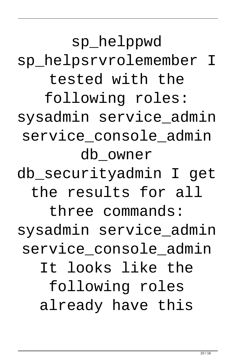sp\_helppwd sp\_helpsrvrolemember I tested with the following roles: sysadmin service\_admin service console admin db\_owner

db\_securityadmin I get the results for all

three commands: sysadmin service\_admin service console admin It looks like the following roles already have this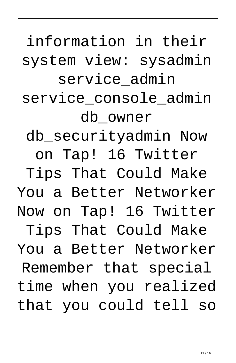Now on Tap! 16 Twitter Tips That Could Make You a Better Networker

Remember that special time when you realized that you could tell so

on Tap! 16 Twitter Tips That Could Make

You a Better Networker

db\_securityadmin Now

service\_console\_admin

db\_owner

system view: sysadmin service admin

information in their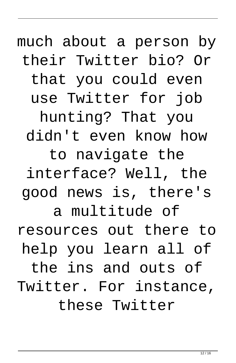much about a person by their Twitter bio? Or

that you could even

use Twitter for job

hunting? That you didn't even know how

to navigate the interface? Well, the good news is, there's

a multitude of resources out there to help you learn all of

the ins and outs of Twitter. For instance, these Twitter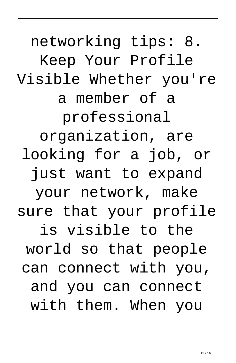networking tips: 8. Keep Your Profile Visible Whether you're a member of a professional organization, are looking for a job, or just want to expand your network, make sure that your profile is visible to the world so that people can connect with you, and you can connect with them. When you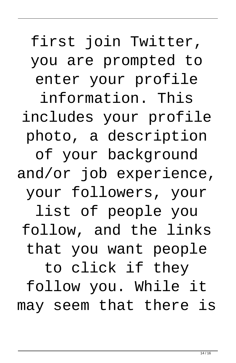first join Twitter, you are prompted to

enter your profile

information. This includes your profile photo, a description

of your background and/or job experience,

your followers, your

list of people you follow, and the links that you want people

to click if they follow you. While it may seem that there is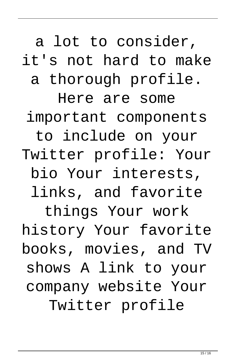a lot to consider,

it's not hard to make

a thorough profile.

Here are some important components to include on your Twitter profile: Your bio Your interests, links, and favorite

things Your work history Your favorite books, movies, and TV shows A link to your company website Your Twitter profile